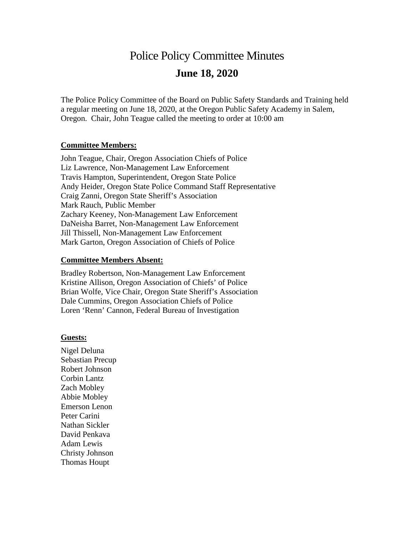# Police Policy Committee Minutes **June 18, 2020**

The Police Policy Committee of the Board on Public Safety Standards and Training held a regular meeting on June 18, 2020, at the Oregon Public Safety Academy in Salem, Oregon. Chair, John Teague called the meeting to order at 10:00 am

#### **Committee Members:**

John Teague, Chair, Oregon Association Chiefs of Police Liz Lawrence, Non-Management Law Enforcement Travis Hampton, Superintendent, Oregon State Police Andy Heider, Oregon State Police Command Staff Representative Craig Zanni, Oregon State Sheriff's Association Mark Rauch, Public Member Zachary Keeney, Non-Management Law Enforcement DaNeisha Barret, Non-Management Law Enforcement Jill Thissell, Non-Management Law Enforcement Mark Garton, Oregon Association of Chiefs of Police

#### **Committee Members Absent:**

Bradley Robertson, Non-Management Law Enforcement Kristine Allison, Oregon Association of Chiefs' of Police Brian Wolfe, Vice Chair, Oregon State Sheriff's Association Dale Cummins, Oregon Association Chiefs of Police Loren 'Renn' Cannon, Federal Bureau of Investigation

#### **Guests:**

Nigel Deluna Sebastian Precup Robert Johnson Corbin Lantz Zach Mobley Abbie Mobley Emerson Lenon Peter Carini Nathan Sickler David Penkava Adam Lewis Christy Johnson Thomas Houpt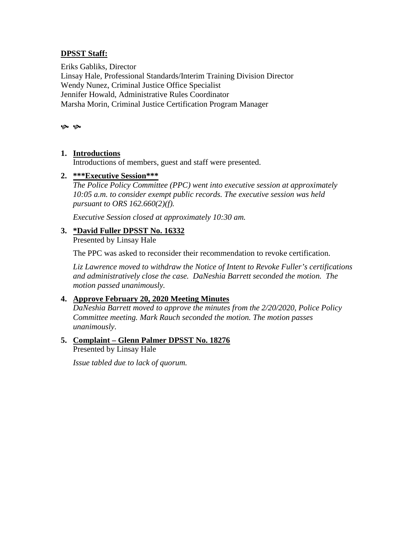## **DPSST Staff:**

Eriks Gabliks, Director Linsay Hale, Professional Standards/Interim Training Division Director Wendy Nunez, Criminal Justice Office Specialist Jennifer Howald, Administrative Rules Coordinator Marsha Morin, Criminal Justice Certification Program Manager

پ پ

#### **1. Introductions**

Introductions of members, guest and staff were presented.

#### **2. \*\*\*Executive Session\*\*\***

*The Police Policy Committee (PPC) went into executive session at approximately 10:05 a.m. to consider exempt public records. The executive session was held pursuant to ORS 162.660(2)(f).*

*Executive Session closed at approximately 10:30 am.*

#### **3. \*David Fuller DPSST No. 16332**

Presented by Linsay Hale

The PPC was asked to reconsider their recommendation to revoke certification.

*Liz Lawrence moved to withdraw the Notice of Intent to Revoke Fuller's certifications and administratively close the case. DaNeshia Barrett seconded the motion. The motion passed unanimously.*

## **4. Approve February 20, 2020 Meeting Minutes**

*DaNeshia Barrett moved to approve the minutes from the 2/20/2020, Police Policy Committee meeting. Mark Rauch seconded the motion. The motion passes unanimously*.

#### **5. Complaint – Glenn Palmer DPSST No. 18276** Presented by Linsay Hale

*Issue tabled due to lack of quorum.*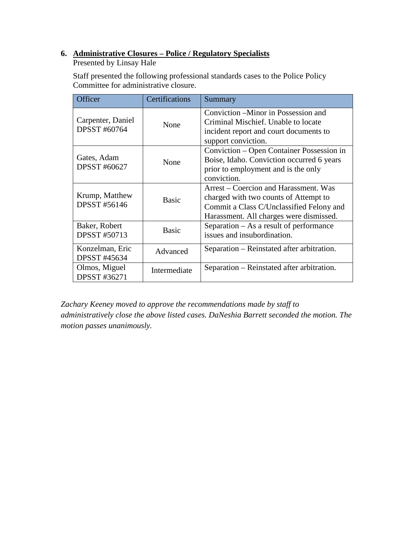## **6. Administrative Closures – Police / Regulatory Specialists**

Presented by Linsay Hale

Staff presented the following professional standards cases to the Police Policy Committee for administrative closure.

| Officer                                  | Certifications | Summary                                                                                                                                                               |
|------------------------------------------|----------------|-----------------------------------------------------------------------------------------------------------------------------------------------------------------------|
| Carpenter, Daniel<br><b>DPSST #60764</b> | None           | Conviction – Minor in Possession and<br>Criminal Mischief. Unable to locate<br>incident report and court documents to<br>support conviction.                          |
| Gates, Adam<br><b>DPSST #60627</b>       | None           | Conviction – Open Container Possession in<br>Boise, Idaho. Conviction occurred 6 years<br>prior to employment and is the only<br>conviction.                          |
| Krump, Matthew<br><b>DPSST #56146</b>    | <b>Basic</b>   | Arrest – Coercion and Harassment. Was<br>charged with two counts of Attempt to<br>Commit a Class C/Unclassified Felony and<br>Harassment. All charges were dismissed. |
| Baker, Robert<br><b>DPSST #50713</b>     | <b>Basic</b>   | Separation $-$ As a result of performance<br>issues and insubordination.                                                                                              |
| Konzelman, Eric<br><b>DPSST #45634</b>   | Advanced       | Separation – Reinstated after arbitration.                                                                                                                            |
| Olmos, Miguel<br><b>DPSST #36271</b>     | Intermediate   | Separation – Reinstated after arbitration.                                                                                                                            |

*Zachary Keeney moved to approve the recommendations made by staff to administratively close the above listed cases. DaNeshia Barrett seconded the motion. The motion passes unanimously.*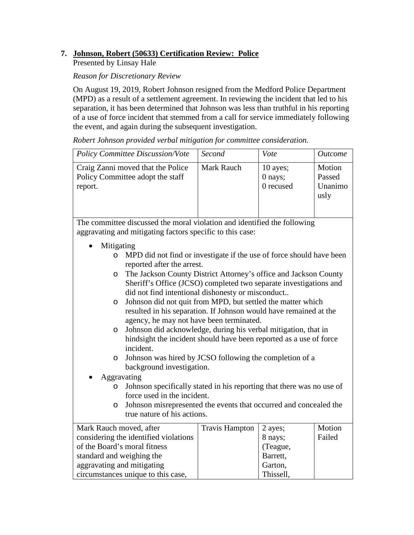## **7. Johnson, Robert (50633) Certification Review: Police**

Presented by Linsay Hale

#### *Reason for Discretionary Review*

aggravating and mitigating

circumstances unique to this case,

On August 19, 2019, Robert Johnson resigned from the Medford Police Department (MPD) as a result of a settlement agreement. In reviewing the incident that led to his separation, it has been determined that Johnson was less than truthful in his reporting of a use of force incident that stemmed from a call for service immediately following the event, and again during the subsequent investigation.

*Robert Johnson provided verbal mitigation for committee consideration.*

|                                                                                                  | <b>Policy Committee Discussion/Vote</b>                                                                                               | Second                | Vote                             | <b>Outcome</b>                      |
|--------------------------------------------------------------------------------------------------|---------------------------------------------------------------------------------------------------------------------------------------|-----------------------|----------------------------------|-------------------------------------|
| report.                                                                                          | Craig Zanni moved that the Police<br>Policy Committee adopt the staff                                                                 | <b>Mark Rauch</b>     | 10 ayes;<br>0 nays;<br>0 recused | Motion<br>Passed<br>Unanimo<br>usly |
|                                                                                                  |                                                                                                                                       |                       |                                  |                                     |
|                                                                                                  | The committee discussed the moral violation and identified the following<br>aggravating and mitigating factors specific to this case: |                       |                                  |                                     |
|                                                                                                  |                                                                                                                                       |                       |                                  |                                     |
| Mitigating<br>$\circ$                                                                            | MPD did not find or investigate if the use of force should have been                                                                  |                       |                                  |                                     |
|                                                                                                  | reported after the arrest.                                                                                                            |                       |                                  |                                     |
| $\circ$                                                                                          | The Jackson County District Attorney's office and Jackson County                                                                      |                       |                                  |                                     |
|                                                                                                  | Sheriff's Office (JCSO) completed two separate investigations and<br>did not find intentional dishonesty or misconduct                |                       |                                  |                                     |
| O                                                                                                |                                                                                                                                       |                       |                                  |                                     |
|                                                                                                  | Johnson did not quit from MPD, but settled the matter which<br>resulted in his separation. If Johnson would have remained at the      |                       |                                  |                                     |
|                                                                                                  | agency, he may not have been terminated.                                                                                              |                       |                                  |                                     |
| $\circ$                                                                                          | Johnson did acknowledge, during his verbal mitigation, that in<br>hindsight the incident should have been reported as a use of force  |                       |                                  |                                     |
|                                                                                                  | incident.                                                                                                                             |                       |                                  |                                     |
| $\circ$                                                                                          | Johnson was hired by JCSO following the completion of a                                                                               |                       |                                  |                                     |
|                                                                                                  | background investigation.                                                                                                             |                       |                                  |                                     |
|                                                                                                  | Aggravating                                                                                                                           |                       |                                  |                                     |
| $\circ$                                                                                          | Johnson specifically stated in his reporting that there was no use of<br>force used in the incident.                                  |                       |                                  |                                     |
| $\circ$                                                                                          |                                                                                                                                       |                       |                                  |                                     |
| Johnson misrepresented the events that occurred and concealed the<br>true nature of his actions. |                                                                                                                                       |                       |                                  |                                     |
| Mark Rauch moved, after                                                                          |                                                                                                                                       | <b>Travis Hampton</b> | 2 ayes;                          | Motion                              |
|                                                                                                  | considering the identified violations                                                                                                 |                       | 8 nays;                          | Failed                              |
| of the Board's moral fitness<br>(Teague,                                                         |                                                                                                                                       |                       |                                  |                                     |
| standard and weighing the<br>Barrett,                                                            |                                                                                                                                       |                       |                                  |                                     |

Garton, Thissell,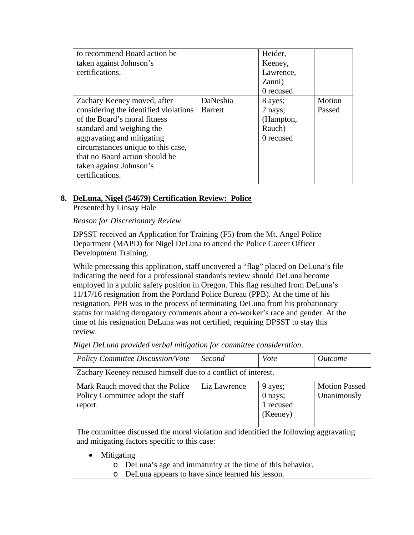| to recommend Board action be          |                | Heider,   |        |
|---------------------------------------|----------------|-----------|--------|
| taken against Johnson's               |                | Keeney,   |        |
| certifications.                       |                | Lawrence, |        |
|                                       |                | Zanni)    |        |
|                                       |                | 0 recused |        |
| Zachary Keeney moved, after           | DaNeshia       | 8 ayes;   | Motion |
| considering the identified violations | <b>Barrett</b> | 2 nays;   | Passed |
| of the Board's moral fitness          |                | (Hampton, |        |
| standard and weighing the             |                | Rauch)    |        |
| aggravating and mitigating            |                | 0 recused |        |
| circumstances unique to this case,    |                |           |        |
| that no Board action should be        |                |           |        |
| taken against Johnson's               |                |           |        |
| certifications.                       |                |           |        |
|                                       |                |           |        |

## **8. DeLuna, Nigel (54679) Certification Review: Police**

Presented by Linsay Hale

*Reason for Discretionary Review*

DPSST received an Application for Training (F5) from the Mt. Angel Police Department (MAPD) for Nigel DeLuna to attend the Police Career Officer Development Training.

While processing this application, staff uncovered a "flag" placed on DeLuna's file indicating the need for a professional standards review should DeLuna become employed in a public safety position in Oregon. This flag resulted from DeLuna's 11/17/16 resignation from the Portland Police Bureau (PPB). At the time of his resignation, PPB was in the process of terminating DeLuna from his probationary status for making derogatory comments about a co-worker's race and gender. At the time of his resignation DeLuna was not certified, requiring DPSST to stay this review.

*Nigel DeLuna provided verbal mitigation for committee consideration*.

| <b>Policy Committee Discussion/Vote</b>                                                                                               | Second       | Vote                                        | <i><u>Outcome</u></i>               |  |
|---------------------------------------------------------------------------------------------------------------------------------------|--------------|---------------------------------------------|-------------------------------------|--|
| Zachary Keeney recused himself due to a conflict of interest.                                                                         |              |                                             |                                     |  |
| Mark Rauch moved that the Police<br>Policy Committee adopt the staff<br>report.                                                       | Liz Lawrence | 9 ayes;<br>0 nays;<br>1 recused<br>(Keeney) | <b>Motion Passed</b><br>Unanimously |  |
| The committee discussed the moral violation and identified the following aggravating<br>and mitigating factors specific to this case: |              |                                             |                                     |  |

- **Mitigating** 
	- o DeLuna's age and immaturity at the time of this behavior.
	- o DeLuna appears to have since learned his lesson.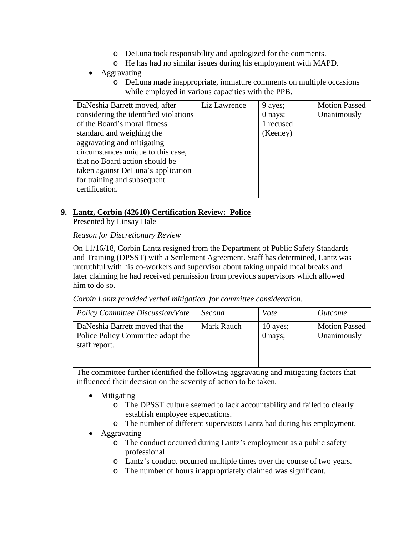- o DeLuna took responsibility and apologized for the comments.
- o He has had no similar issues during his employment with MAPD.
- Aggravating
	- o DeLuna made inappropriate, immature comments on multiple occasions while employed in various capacities with the PPB.

| DaNeshia Barrett moved, after         | Liz Lawrence | 9 ayes;   | <b>Motion Passed</b> |
|---------------------------------------|--------------|-----------|----------------------|
| considering the identified violations |              | 0 nays;   | Unanimously          |
| of the Board's moral fitness          |              | 1 recused |                      |
| standard and weighing the             |              | (Keeney)  |                      |
| aggravating and mitigating            |              |           |                      |
| circumstances unique to this case,    |              |           |                      |
| that no Board action should be        |              |           |                      |
| taken against DeLuna's application    |              |           |                      |
| for training and subsequent           |              |           |                      |
| certification.                        |              |           |                      |
|                                       |              |           |                      |

## **9. Lantz, Corbin (42610) Certification Review: Police**

Presented by Linsay Hale

## *Reason for Discretionary Review*

On 11/16/18, Corbin Lantz resigned from the Department of Public Safety Standards and Training (DPSST) with a Settlement Agreement. Staff has determined, Lantz was untruthful with his co-workers and supervisor about taking unpaid meal breaks and later claiming he had received permission from previous supervisors which allowed him to do so.

*Corbin Lantz provided verbal mitigation for committee consideration*.

| <b>Policy Committee Discussion/Vote</b>                                               | Second     | Vote                | <i>Outcome</i>                      |
|---------------------------------------------------------------------------------------|------------|---------------------|-------------------------------------|
| DaNeshia Barrett moved that the<br>Police Policy Committee adopt the<br>staff report. | Mark Rauch | 10 ayes;<br>0 nays; | <b>Motion Passed</b><br>Unanimously |

The committee further identified the following aggravating and mitigating factors that influenced their decision on the severity of action to be taken.

- **Mitigating** 
	- o The DPSST culture seemed to lack accountability and failed to clearly establish employee expectations.
	- o The number of different supervisors Lantz had during his employment.
- Aggravating
	- o The conduct occurred during Lantz's employment as a public safety professional.
	- o Lantz's conduct occurred multiple times over the course of two years.
	- o The number of hours inappropriately claimed was significant.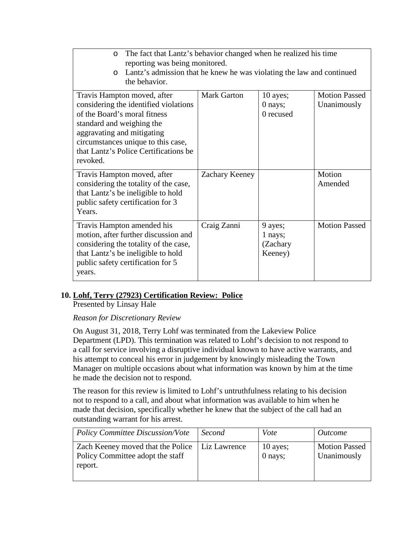| The fact that Lantz's behavior changed when he realized his time<br>$\circ$<br>reporting was being monitored.<br>Lantz's admission that he knew he was violating the law and continued<br>$\circ$<br>the behavior.                                         |                    |                                           |                                     |
|------------------------------------------------------------------------------------------------------------------------------------------------------------------------------------------------------------------------------------------------------------|--------------------|-------------------------------------------|-------------------------------------|
| Travis Hampton moved, after<br>considering the identified violations<br>of the Board's moral fitness<br>standard and weighing the<br>aggravating and mitigating<br>circumstances unique to this case,<br>that Lantz's Police Certifications be<br>revoked. | <b>Mark Garton</b> | $10$ ayes;<br>0 nays;<br>0 recused        | <b>Motion Passed</b><br>Unanimously |
| Travis Hampton moved, after<br>considering the totality of the case,<br>that Lantz's be ineligible to hold<br>public safety certification for 3<br>Years.                                                                                                  | Zachary Keeney     |                                           | Motion<br>Amended                   |
| Travis Hampton amended his<br>motion, after further discussion and<br>considering the totality of the case,<br>that Lantz's be ineligible to hold<br>public safety certification for 5<br>years.                                                           | Craig Zanni        | 9 ayes;<br>1 nays;<br>(Zachary<br>Keeney) | <b>Motion Passed</b>                |

## **10. Lohf, Terry (27923) Certification Review: Police**

Presented by Linsay Hale

*Reason for Discretionary Review*

On August 31, 2018, Terry Lohf was terminated from the Lakeview Police Department (LPD). This termination was related to Lohf's decision to not respond to a call for service involving a disruptive individual known to have active warrants, and his attempt to conceal his error in judgement by knowingly misleading the Town Manager on multiple occasions about what information was known by him at the time he made the decision not to respond.

The reason for this review is limited to Lohf's untruthfulness relating to his decision not to respond to a call, and about what information was available to him when he made that decision, specifically whether he knew that the subject of the call had an outstanding warrant for his arrest.

| <b>Policy Committee Discussion/Vote</b>                                          | Second       | Vote                    | <i>Outcome</i>                      |
|----------------------------------------------------------------------------------|--------------|-------------------------|-------------------------------------|
| Zach Keeney moved that the Police<br>Policy Committee adopt the staff<br>report. | Liz Lawrence | $10$ ayes;<br>$0$ nays; | <b>Motion Passed</b><br>Unanimously |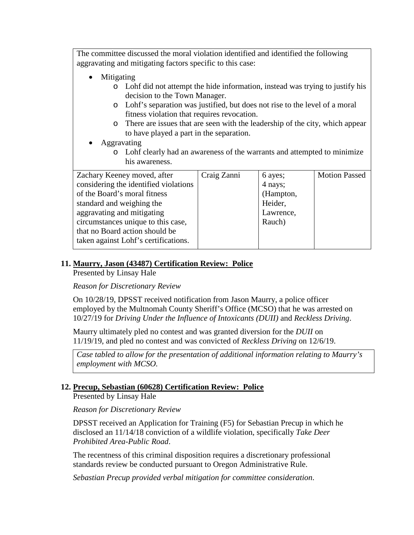The committee discussed the moral violation identified and identified the following aggravating and mitigating factors specific to this case:

- Mitigating
	- o Lohf did not attempt the hide information, instead was trying to justify his decision to the Town Manager.
	- o Lohf's separation was justified, but does not rise to the level of a moral fitness violation that requires revocation.
	- o There are issues that are seen with the leadership of the city, which appear to have played a part in the separation.
- Aggravating
	- o Lohf clearly had an awareness of the warrants and attempted to minimize his awareness.

| Zachary Keeney moved, after           | Craig Zanni | 6 ayes;   | <b>Motion Passed</b> |
|---------------------------------------|-------------|-----------|----------------------|
| considering the identified violations |             | 4 nays;   |                      |
| of the Board's moral fitness          |             | (Hampton, |                      |
| standard and weighing the             |             | Heider,   |                      |
| aggravating and mitigating            |             | Lawrence, |                      |
| circumstances unique to this case,    |             | Rauch)    |                      |
| that no Board action should be        |             |           |                      |
| taken against Lohf's certifications.  |             |           |                      |
|                                       |             |           |                      |

## **11. Maurry, Jason (43487) Certification Review: Police**

Presented by Linsay Hale

*Reason for Discretionary Review*

On 10/28/19, DPSST received notification from Jason Maurry, a police officer employed by the Multnomah County Sheriff's Office (MCSO) that he was arrested on 10/27/19 for *Driving Under the Influence of Intoxicants (DUII)* and *Reckless Driving*.

Maurry ultimately pled no contest and was granted diversion for the *DUII* on 11/19/19, and pled no contest and was convicted of *Reckless Driving* on 12/6/19.

*Case tabled to allow for the presentation of additional information relating to Maurry's employment with MCSO.*

## **12. Precup, Sebastian (60628) Certification Review: Police**

Presented by Linsay Hale

*Reason for Discretionary Review*

DPSST received an Application for Training (F5) for Sebastian Precup in which he disclosed an 11/14/18 conviction of a wildlife violation, specifically *Take Deer Prohibited Area-Public Road*.

The recentness of this criminal disposition requires a discretionary professional standards review be conducted pursuant to Oregon Administrative Rule.

*Sebastian Precup provided verbal mitigation for committee consideration*.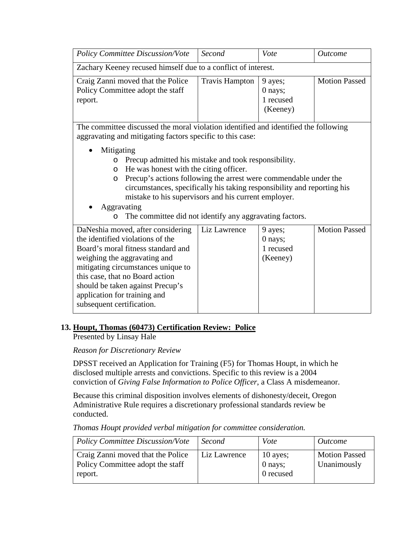| <b>Policy Committee Discussion/Vote</b>                                          | Second                | Vote                                        | <i><u>Outcome</u></i> |
|----------------------------------------------------------------------------------|-----------------------|---------------------------------------------|-----------------------|
| Zachary Keeney recused himself due to a conflict of interest.                    |                       |                                             |                       |
| Craig Zanni moved that the Police<br>Policy Committee adopt the staff<br>report. | <b>Travis Hampton</b> | 9 ayes;<br>0 nays;<br>1 recused<br>(Keeney) | <b>Motion Passed</b>  |

The committee discussed the moral violation identified and identified the following aggravating and mitigating factors specific to this case:

- Mitigating
	- o Precup admitted his mistake and took responsibility.
	- o He was honest with the citing officer.
	- o Precup's actions following the arrest were commendable under the circumstances, specifically his taking responsibility and reporting his mistake to his supervisors and his current employer.
- Aggravating
	- o The committee did not identify any aggravating factors.

| DaNeshia moved, after considering  | Liz Lawrence | 9 ayes;   | <b>Motion Passed</b> |
|------------------------------------|--------------|-----------|----------------------|
| the identified violations of the   |              | 0 nays;   |                      |
| Board's moral fitness standard and |              | 1 recused |                      |
| weighing the aggravating and       |              | (Keeney)  |                      |
| mitigating circumstances unique to |              |           |                      |
| this case, that no Board action    |              |           |                      |
| should be taken against Precup's   |              |           |                      |
| application for training and       |              |           |                      |
| subsequent certification.          |              |           |                      |
|                                    |              |           |                      |

## **13. Houpt, Thomas (60473) Certification Review: Police**

Presented by Linsay Hale

*Reason for Discretionary Review*

DPSST received an Application for Training (F5) for Thomas Houpt, in which he disclosed multiple arrests and convictions. Specific to this review is a 2004 conviction of *Giving False Information to Police Officer*, a Class A misdemeanor.

Because this criminal disposition involves elements of dishonesty/deceit, Oregon Administrative Rule requires a discretionary professional standards review be conducted.

*Thomas Houpt provided verbal mitigation for committee consideration.*

| Policy Committee Discussion/Vote                                                 | Second       | Vote                               | <i>Outcome</i>                      |
|----------------------------------------------------------------------------------|--------------|------------------------------------|-------------------------------------|
| Craig Zanni moved that the Police<br>Policy Committee adopt the staff<br>report. | Liz Lawrence | $10$ ayes;<br>0 nays;<br>0 recused | <b>Motion Passed</b><br>Unanimously |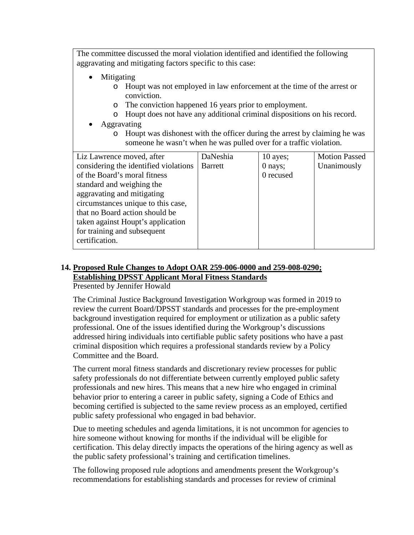The committee discussed the moral violation identified and identified the following aggravating and mitigating factors specific to this case:

- Mitigating
	- o Houpt was not employed in law enforcement at the time of the arrest or conviction.
	- o The conviction happened 16 years prior to employment.
	- o Houpt does not have any additional criminal dispositions on his record.
- Aggravating
	- o Houpt was dishonest with the officer during the arrest by claiming he was someone he wasn't when he was pulled over for a traffic violation.

| Liz Lawrence moved, after             | DaNeshia       | $10$ ayes; | <b>Motion Passed</b> |
|---------------------------------------|----------------|------------|----------------------|
| considering the identified violations | <b>Barrett</b> | $0$ nays;  | Unanimously          |
| of the Board's moral fitness          |                | 0 recused  |                      |
| standard and weighing the             |                |            |                      |
| aggravating and mitigating            |                |            |                      |
| circumstances unique to this case,    |                |            |                      |
| that no Board action should be        |                |            |                      |
| taken against Houpt's application     |                |            |                      |
| for training and subsequent           |                |            |                      |
| certification.                        |                |            |                      |
|                                       |                |            |                      |

# **14. Proposed Rule Changes to Adopt OAR 259-006-0000 and 259-008-0290; Establishing DPSST Applicant Moral Fitness Standards**

Presented by Jennifer Howald

The Criminal Justice Background Investigation Workgroup was formed in 2019 to review the current Board/DPSST standards and processes for the pre-employment background investigation required for employment or utilization as a public safety professional. One of the issues identified during the Workgroup's discussions addressed hiring individuals into certifiable public safety positions who have a past criminal disposition which requires a professional standards review by a Policy Committee and the Board.

The current moral fitness standards and discretionary review processes for public safety professionals do not differentiate between currently employed public safety professionals and new hires. This means that a new hire who engaged in criminal behavior prior to entering a career in public safety, signing a Code of Ethics and becoming certified is subjected to the same review process as an employed, certified public safety professional who engaged in bad behavior.

Due to meeting schedules and agenda limitations, it is not uncommon for agencies to hire someone without knowing for months if the individual will be eligible for certification. This delay directly impacts the operations of the hiring agency as well as the public safety professional's training and certification timelines.

The following proposed rule adoptions and amendments present the Workgroup's recommendations for establishing standards and processes for review of criminal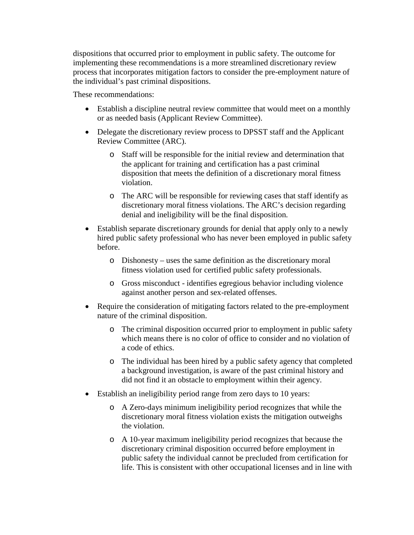dispositions that occurred prior to employment in public safety. The outcome for implementing these recommendations is a more streamlined discretionary review process that incorporates mitigation factors to consider the pre-employment nature of the individual's past criminal dispositions.

These recommendations:

- Establish a discipline neutral review committee that would meet on a monthly or as needed basis (Applicant Review Committee).
- Delegate the discretionary review process to DPSST staff and the Applicant Review Committee (ARC).
	- o Staff will be responsible for the initial review and determination that the applicant for training and certification has a past criminal disposition that meets the definition of a discretionary moral fitness violation.
	- o The ARC will be responsible for reviewing cases that staff identify as discretionary moral fitness violations. The ARC's decision regarding denial and ineligibility will be the final disposition.
- Establish separate discretionary grounds for denial that apply only to a newly hired public safety professional who has never been employed in public safety before.
	- o Dishonesty uses the same definition as the discretionary moral fitness violation used for certified public safety professionals.
	- o Gross misconduct identifies egregious behavior including violence against another person and sex-related offenses.
- Require the consideration of mitigating factors related to the pre-employment nature of the criminal disposition.
	- o The criminal disposition occurred prior to employment in public safety which means there is no color of office to consider and no violation of a code of ethics.
	- o The individual has been hired by a public safety agency that completed a background investigation, is aware of the past criminal history and did not find it an obstacle to employment within their agency.
- Establish an ineligibility period range from zero days to 10 years:
	- o A Zero-days minimum ineligibility period recognizes that while the discretionary moral fitness violation exists the mitigation outweighs the violation.
	- o A 10-year maximum ineligibility period recognizes that because the discretionary criminal disposition occurred before employment in public safety the individual cannot be precluded from certification for life. This is consistent with other occupational licenses and in line with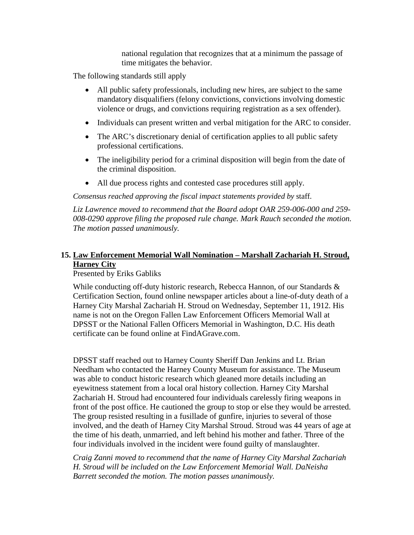national regulation that recognizes that at a minimum the passage of time mitigates the behavior.

The following standards still apply

- All public safety professionals, including new hires, are subject to the same mandatory disqualifiers (felony convictions, convictions involving domestic violence or drugs, and convictions requiring registration as a sex offender).
- Individuals can present written and verbal mitigation for the ARC to consider.
- The ARC's discretionary denial of certification applies to all public safety professional certifications.
- The ineligibility period for a criminal disposition will begin from the date of the criminal disposition.
- All due process rights and contested case procedures still apply.

*Consensus reached approving the fiscal impact statements provided by* staff.

*Liz Lawrence moved to recommend that the Board adopt OAR 259-006-000 and 259- 008-0290 approve filing the proposed rule change. Mark Rauch seconded the motion. The motion passed unanimously.*

## **15. Law Enforcement Memorial Wall Nomination – Marshall Zachariah H. Stroud, Harney City**

Presented by Eriks Gabliks

While conducting off-duty historic research, Rebecca Hannon, of our Standards & Certification Section, found online newspaper articles about a line-of-duty death of a Harney City Marshal Zachariah H. Stroud on Wednesday, September 11, 1912. His name is not on the Oregon Fallen Law Enforcement Officers Memorial Wall at DPSST or the National Fallen Officers Memorial in Washington, D.C. His death certificate can be found online at FindAGrave.com.

DPSST staff reached out to Harney County Sheriff Dan Jenkins and Lt. Brian Needham who contacted the Harney County Museum for assistance. The Museum was able to conduct historic research which gleaned more details including an eyewitness statement from a local oral history collection. Harney City Marshal Zachariah H. Stroud had encountered four individuals carelessly firing weapons in front of the post office. He cautioned the group to stop or else they would be arrested. The group resisted resulting in a fusillade of gunfire, injuries to several of those involved, and the death of Harney City Marshal Stroud. Stroud was 44 years of age at the time of his death, unmarried, and left behind his mother and father. Three of the four individuals involved in the incident were found guilty of manslaughter.

*Craig Zanni moved to recommend that the name of Harney City Marshal Zachariah H. Stroud will be included on the Law Enforcement Memorial Wall. DaNeisha Barrett seconded the motion. The motion passes unanimously.*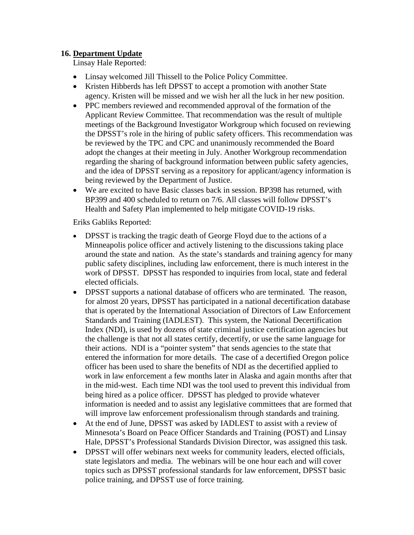## **16. Department Update**

Linsay Hale Reported:

- Linsay welcomed Jill Thissell to the Police Policy Committee.
- Kristen Hibberds has left DPSST to accept a promotion with another State agency. Kristen will be missed and we wish her all the luck in her new position.
- PPC members reviewed and recommended approval of the formation of the Applicant Review Committee. That recommendation was the result of multiple meetings of the Background Investigator Workgroup which focused on reviewing the DPSST's role in the hiring of public safety officers. This recommendation was be reviewed by the TPC and CPC and unanimously recommended the Board adopt the changes at their meeting in July. Another Workgroup recommendation regarding the sharing of background information between public safety agencies, and the idea of DPSST serving as a repository for applicant/agency information is being reviewed by the Department of Justice.
- We are excited to have Basic classes back in session. BP398 has returned, with BP399 and 400 scheduled to return on 7/6. All classes will follow DPSST's Health and Safety Plan implemented to help mitigate COVID-19 risks.

Eriks Gabliks Reported:

- DPSST is tracking the tragic death of George Floyd due to the actions of a Minneapolis police officer and actively listening to the discussions taking place around the state and nation. As the state's standards and training agency for many public safety disciplines, including law enforcement, there is much interest in the work of DPSST. DPSST has responded to inquiries from local, state and federal elected officials.
- DPSST supports a national database of officers who are terminated. The reason, for almost 20 years, DPSST has participated in a national decertification database that is operated by the International Association of Directors of Law Enforcement Standards and Training (IADLEST). This system, the National Decertification Index (NDI), is used by dozens of state criminal justice certification agencies but the challenge is that not all states certify, decertify, or use the same language for their actions. NDI is a "pointer system" that sends agencies to the state that entered the information for more details. The case of a decertified Oregon police officer has been used to share the benefits of NDI as the decertified applied to work in law enforcement a few months later in Alaska and again months after that in the mid-west. Each time NDI was the tool used to prevent this individual from being hired as a police officer. DPSST has pledged to provide whatever information is needed and to assist any legislative committees that are formed that will improve law enforcement professionalism through standards and training.
- At the end of June, DPSST was asked by IADLEST to assist with a review of Minnesota's Board on Peace Officer Standards and Training (POST) and Linsay Hale, DPSST's Professional Standards Division Director, was assigned this task.
- DPSST will offer webinars next weeks for community leaders, elected officials, state legislators and media. The webinars will be one hour each and will cover topics such as DPSST professional standards for law enforcement, DPSST basic police training, and DPSST use of force training.